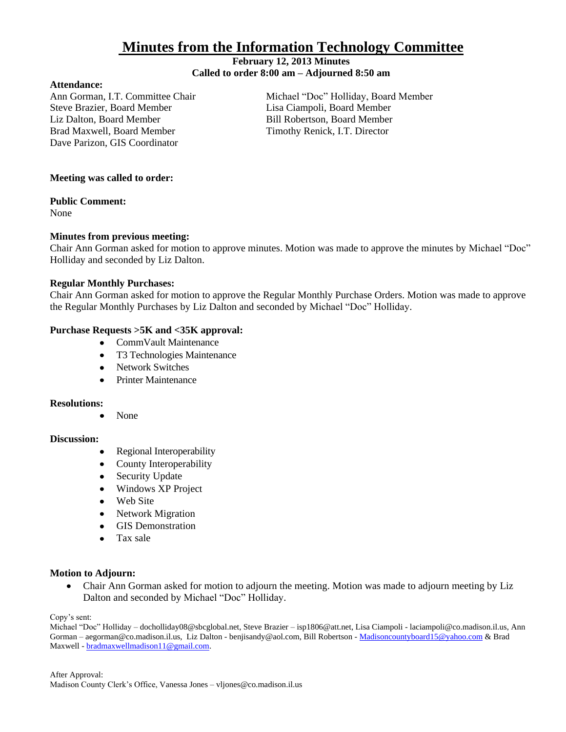# **Minutes from the Information Technology Committee**

## **February 12, 2013 Minutes Called to order 8:00 am – Adjourned 8:50 am**

#### **Attendance:**

Steve Brazier, Board Member Lisa Ciampoli, Board Member Liz Dalton, Board Member **Bill Robertson, Board Member** Bill Robertson, Board Member Brad Maxwell, Board Member Timothy Renick, I.T. Director Dave Parizon, GIS Coordinator

Ann Gorman, I.T. Committee Chair Michael "Doc" Holliday, Board Member

# **Meeting was called to order:**

## **Public Comment:**

None

# **Minutes from previous meeting:**

Chair Ann Gorman asked for motion to approve minutes. Motion was made to approve the minutes by Michael "Doc" Holliday and seconded by Liz Dalton.

## **Regular Monthly Purchases:**

Chair Ann Gorman asked for motion to approve the Regular Monthly Purchase Orders. Motion was made to approve the Regular Monthly Purchases by Liz Dalton and seconded by Michael "Doc" Holliday.

## **Purchase Requests >5K and <35K approval:**

- CommVault Maintenance
- T3 Technologies Maintenance
- Network Switches
- Printer Maintenance

## **Resolutions:**

None

## **Discussion:**

- Regional Interoperability  $\bullet$
- County Interoperability  $\bullet$
- Security Update
- Windows XP Project  $\bullet$
- $\bullet$ Web Site
- $\bullet$ Network Migration
- **GIS Demonstration**
- $\bullet$ Tax sale

#### **Motion to Adjourn:**

Chair Ann Gorman asked for motion to adjourn the meeting. Motion was made to adjourn meeting by Liz  $\bullet$ Dalton and seconded by Michael "Doc" Holliday.

Copy's sent:

Michael "Doc" Holliday – docholliday08@sbcglobal.net, Steve Brazier – isp1806@att.net, Lisa Ciampoli - laciampoli@co.madison.il.us, Ann Gorman – aegorman@co.madison.il.us, Liz Dalton - benjisandy@aol.com, Bill Robertson - [Madisoncountyboard15@yahoo.com](mailto:Madisoncountyboard15@yahoo.com) & Brad Maxwell - [bradmaxwellmadison11@gmail.com.](mailto:bradmaxwellmadison11@gmail.com)